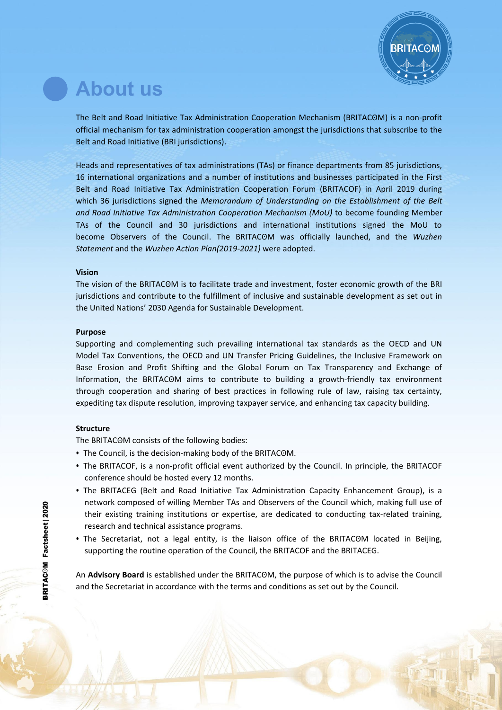

# **About us**

The Belt and Road Initiative Tax Administration Cooperation Mechanism (BRITACʘM) is a non-profit official mechanism for tax administration cooperation amongst the jurisdictions that subscribe to the Belt and Road Initiative (BRI jurisdictions).

Heads and representatives of tax administrations (TAs) or finance departments from 85 jurisdictions, 16 international organizations and a number of institutions and businesses participated in the First Belt and Road Initiative Tax Administration Cooperation Forum (BRITACOF) in April 2019 during which 36 jurisdictions signed the *Memorandum of Understanding on the Establishment of the Belt and Road Initiative Tax Administration Cooperation Mechanism (MoU)* to become founding Member TAs of the Council and 30 jurisdictions and international institutions signed the MoU to become Observers of the Council. The BRITACʘM was officially launched, and the *Wuzhen Statement* and the *Wuzhen Action Plan(2019-2021)* were adopted.

### **Vision**

The vision of the BRITACOM is to facilitate trade and investment, foster economic growth of the BRI jurisdictions and contribute to the fulfillment of inclusive and sustainable development as set out in the United Nations' 2030 Agenda for Sustainable Development.

### **Purpose**

Supporting and complementing such prevailing international tax standards as the OECD and UN Model Tax Conventions, the OECD and UN Transfer Pricing Guidelines, the Inclusive Framework on Base Erosion and Profit Shifting and the Global Forum on Tax Transparency and Exchange of Information, the BRITACOM aims to contribute to building a growth-friendly tax environment through cooperation and sharing of best practices in following rule of law, raising tax certainty, expediting tax dispute resolution, improving taxpayer service, and enhancing tax capacity building.

## **Structure**

The BRITACOM consists of the following bodies:

- The Council, is the decision-making body of the BRITACOM.
- The BRITACOF, is a non-profit official event authorized by the Council. In principle, the BRITACOF conference should be hosted every 12 months.
- The BRITACEG (Belt and Road Initiative Tax Administration Capacity Enhancement Group), is a network composed of willing Member TAs and Observers of the Council which, making full use of their existing training institutions or expertise, are dedicated to conducting tax-related training, research and technical assistance programs. et Mondon<br> **example 1**<br> **example 1**<br> **example 1**<br> **example 1**<br> **example 1**<br> **example 1**<br> **example 1**
- The Secretariat, not a legal entity, is the liaison office of the BRITACOM located in Beijing, **changes** of the BRITACOM located in Beijing, supporting the routine operation of the Council, the BRITACOF and the BRITACEG.<br>■

An **Advisory Board** is established under the BRITACʘM, the purpose of which is to advise the Council and the Secretariat in accordance with the terms and conditions as set out by the Council.